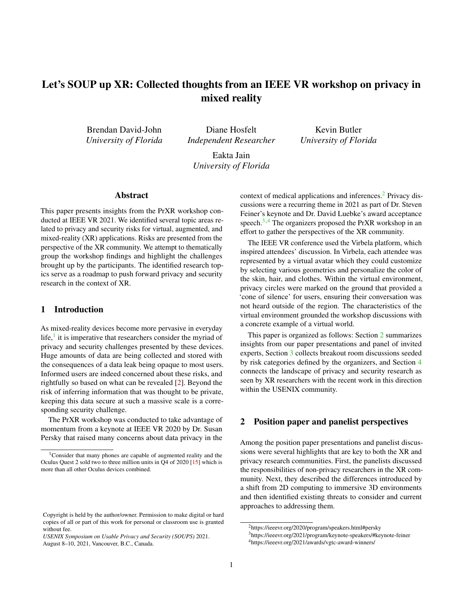# Let's SOUP up XR: Collected thoughts from an IEEE VR workshop on privacy in mixed reality

Brendan David-John *University of Florida*

Diane Hosfelt *Independent Researcher*

Kevin Butler *University of Florida*

Eakta Jain *University of Florida*

### Abstract

This paper presents insights from the PrXR workshop conducted at IEEE VR 2021. We identified several topic areas related to privacy and security risks for virtual, augmented, and mixed-reality (XR) applications. Risks are presented from the perspective of the XR community. We attempt to thematically group the workshop findings and highlight the challenges brought up by the participants. The identified research topics serve as a roadmap to push forward privacy and security research in the context of XR.

#### 1 Introduction

As mixed-reality devices become more pervasive in everyday life, $\frac{1}{1}$  $\frac{1}{1}$  $\frac{1}{1}$  it is imperative that researchers consider the myriad of privacy and security challenges presented by these devices. Huge amounts of data are being collected and stored with the consequences of a data leak being opaque to most users. Informed users are indeed concerned about these risks, and rightfully so based on what can be revealed [\[2\]](#page-4-0). Beyond the risk of inferring information that was thought to be private, keeping this data secure at such a massive scale is a corresponding security challenge.

The PrXR workshop was conducted to take advantage of momentum from a keynote at IEEE VR 2020 by Dr. Susan Persky that raised many concerns about data privacy in the

context of medical applications and inferences.<sup>[2](#page-0-1)</sup> Privacy discussions were a recurring theme in 2021 as part of Dr. Steven Feiner's keynote and Dr. David Luebke's award acceptance speech.<sup>[3](#page-0-2),[4](#page-0-3)</sup> The organizers proposed the PrXR workshop in an effort to gather the perspectives of the XR community.

The IEEE VR conference used the Virbela platform, which inspired attendees' discussion. In Virbela, each attendee was represented by a virtual avatar which they could customize by selecting various geometries and personalize the color of the skin, hair, and clothes. Within the virtual environment, privacy circles were marked on the ground that provided a 'cone of silence' for users, ensuring their conversation was not heard outside of the region. The characteristics of the virtual environment grounded the workshop discussions with a concrete example of a virtual world.

This paper is organized as follows: Section [2](#page-0-4) summarizes insights from our paper presentations and panel of invited experts, Section [3](#page-1-0) collects breakout room discussions seeded by risk categories defined by the organizers, and Section [4](#page-3-0) connects the landscape of privacy and security research as seen by XR researchers with the recent work in this direction within the USENIX community.

# <span id="page-0-4"></span>2 Position paper and panelist perspectives

Among the position paper presentations and panelist discussions were several highlights that are key to both the XR and privacy research communities. First, the panelists discussed the responsibilities of non-privacy researchers in the XR community. Next, they described the differences introduced by a shift from 2D computing to immersive 3D environments and then identified existing threats to consider and current approaches to addressing them.

<span id="page-0-0"></span><sup>&</sup>lt;sup>1</sup>Consider that many phones are capable of augmented reality and the Oculus Quest 2 sold two to three million units in Q4 of 2020 [\[15\]](#page-4-1) which is more than all other Oculus devices combined.

Copyright is held by the author/owner. Permission to make digital or hard copies of all or part of this work for personal or classroom use is granted without fee.

*USENIX Symposium on Usable Privacy and Security (SOUPS)* 2021. August 8–10, 2021, Vancouver, B.C., Canada.

<span id="page-0-1"></span><sup>2</sup>https://ieeevr.org/2020/program/speakers.html#persky

<span id="page-0-3"></span><span id="page-0-2"></span><sup>3</sup>https://ieeevr.org/2021/program/keynote-speakers/#keynote-feiner <sup>4</sup>https://ieeevr.org/2021/awards/vgtc-award-winners/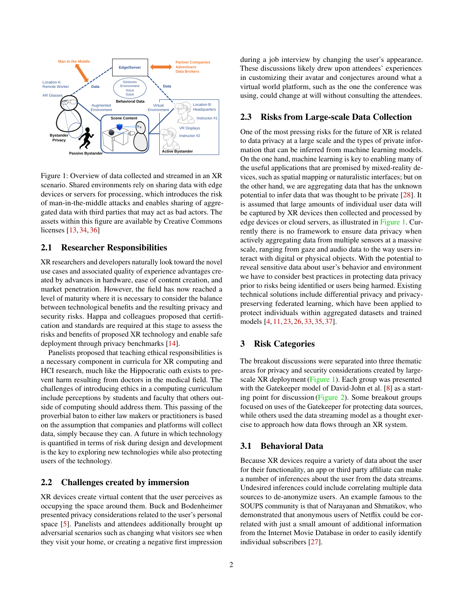

<span id="page-1-1"></span>Figure 1: Overview of data collected and streamed in an XR scenario. Shared environments rely on sharing data with edge devices or servers for processing, which introduces the risk of man-in-the-middle attacks and enables sharing of aggregated data with third parties that may act as bad actors. The assets within this figure are available by Creative Commons licenses [\[13,](#page-4-2) [34,](#page-5-0) [36\]](#page-5-1)

#### 2.1 Researcher Responsibilities

XR researchers and developers naturally look toward the novel use cases and associated quality of experience advantages created by advances in hardware, ease of content creation, and market penetration. However, the field has now reached a level of maturity where it is necessary to consider the balance between technological benefits and the resulting privacy and security risks. Happa and colleagues proposed that certification and standards are required at this stage to assess the risks and benefits of proposed XR technology and enable safe deployment through privacy benchmarks [\[14\]](#page-4-3).

Panelists proposed that teaching ethical responsibilities is a necessary component in curricula for XR computing and HCI research, much like the Hippocratic oath exists to prevent harm resulting from doctors in the medical field. The challenges of introducing ethics in a computing curriculum include perceptions by students and faculty that others outside of computing should address them. This passing of the proverbial baton to either law makers or practitioners is based on the assumption that companies and platforms will collect data, simply because they can. A future in which technology is quantified in terms of risk during design and development is the key to exploring new technologies while also protecting users of the technology.

# 2.2 Challenges created by immersion

XR devices create virtual content that the user perceives as occupying the space around them. Buck and Bodenheimer presented privacy considerations related to the user's personal space [\[5\]](#page-4-4). Panelists and attendees additionally brought up adversarial scenarios such as changing what visitors see when they visit your home, or creating a negative first impression

during a job interview by changing the user's appearance. These discussions likely drew upon attendees' experiences in customizing their avatar and conjectures around what a virtual world platform, such as the one the conference was using, could change at will without consulting the attendees.

#### 2.3 Risks from Large-scale Data Collection

One of the most pressing risks for the future of XR is related to data privacy at a large scale and the types of private information that can be inferred from machine learning models. On the one hand, machine learning is key to enabling many of the useful applications that are promised by mixed-reality devices, such as spatial mapping or naturalistic interfaces; but on the other hand, we are aggregating data that has the unknown potential to infer data that was thought to be private [\[28\]](#page-5-2). It is assumed that large amounts of individual user data will be captured by XR devices then collected and processed by edge devices or cloud servers, as illustrated in [Figure 1.](#page-1-1) Currently there is no framework to ensure data privacy when actively aggregating data from multiple sensors at a massive scale, ranging from gaze and audio data to the way users interact with digital or physical objects. With the potential to reveal sensitive data about user's behavior and environment we have to consider best practices in protecting data privacy prior to risks being identified or users being harmed. Existing technical solutions include differential privacy and privacypreserving federated learning, which have been applied to protect individuals within aggregated datasets and trained models [\[4,](#page-4-5) [11,](#page-4-6) [23,](#page-5-3) [26,](#page-5-4) [33,](#page-5-5) [35,](#page-5-6) [37\]](#page-5-7).

#### <span id="page-1-0"></span>3 Risk Categories

The breakout discussions were separated into three thematic areas for privacy and security considerations created by largescale XR deployment [\(Figure 1\)](#page-1-1). Each group was presented with the Gatekeeper model of David-John et al. [\[8\]](#page-4-7) as a starting point for discussion [\(Figure 2\)](#page-2-0). Some breakout groups focused on uses of the Gatekeeper for protecting data sources, while others used the data streaming model as a thought exercise to approach how data flows through an XR system.

# 3.1 Behavioral Data

Because XR devices require a variety of data about the user for their functionality, an app or third party affiliate can make a number of inferences about the user from the data streams. Undesired inferences could include correlating multiple data sources to de-anonymize users. An example famous to the SOUPS community is that of Narayanan and Shmatikov, who demonstrated that anonymous users of Netflix could be correlated with just a small amount of additional information from the Internet Movie Database in order to easily identify individual subscribers [\[27\]](#page-5-8).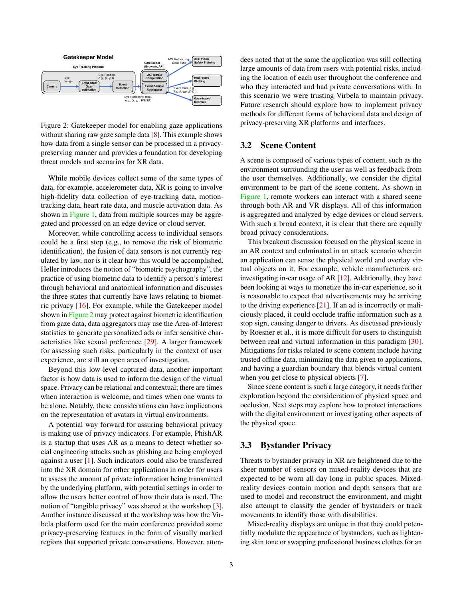

<span id="page-2-0"></span>Figure 2: Gatekeeper model for enabling gaze applications without sharing raw gaze sample data [\[8\]](#page-4-7). This example shows how data from a single sensor can be processed in a privacypreserving manner and provides a foundation for developing threat models and scenarios for XR data.

While mobile devices collect some of the same types of data, for example, accelerometer data, XR is going to involve high-fidelity data collection of eye-tracking data, motiontracking data, heart rate data, and muscle activation data. As shown in [Figure 1,](#page-1-1) data from multiple sources may be aggregated and processed on an edge device or cloud server.

Moreover, while controlling access to individual sensors could be a first step (e.g., to remove the risk of biometric identification), the fusion of data sensors is not currently regulated by law, nor is it clear how this would be accomplished. Heller introduces the notion of "biometric psychography", the practice of using biometric data to identify a person's interest through behavioral and anatomical information and discusses the three states that currently have laws relating to biometric privacy [\[16\]](#page-4-8). For example, while the Gatekeeper model shown in [Figure 2](#page-2-0) may protect against biometric identification from gaze data, data aggregators may use the Area-of-Interest statistics to generate personalized ads or infer sensitive characteristics like sexual preference [\[29\]](#page-5-9). A larger framework for assessing such risks, particularly in the context of user experience, are still an open area of investigation.

Beyond this low-level captured data, another important factor is how data is used to inform the design of the virtual space. Privacy can be relational and contextual; there are times when interaction is welcome, and times when one wants to be alone. Notably, these considerations can have implications on the representation of avatars in virtual environments.

A potential way forward for assuring behavioral privacy is making use of privacy indicators. For example, PhishAR is a startup that uses AR as a means to detect whether social engineering attacks such as phishing are being employed against a user [\[1\]](#page-4-9). Such indicators could also be transferred into the XR domain for other applications in order for users to assess the amount of private information being transmitted by the underlying platform, with potential settings in order to allow the users better control of how their data is used. The notion of "tangible privacy" was shared at the workshop [\[3\]](#page-4-10). Another instance discussed at the workshop was how the Virbela platform used for the main conference provided some privacy-preserving features in the form of visually marked regions that supported private conversations. However, attendees noted that at the same the application was still collecting large amounts of data from users with potential risks, including the location of each user throughout the conference and who they interacted and had private conversations with. In this scenario we were trusting Virbela to maintain privacy. Future research should explore how to implement privacy methods for different forms of behavioral data and design of privacy-preserving XR platforms and interfaces.

#### 3.2 Scene Content

A scene is composed of various types of content, such as the environment surrounding the user as well as feedback from the user themselves. Additionally, we consider the digital environment to be part of the scene content. As shown in [Figure 1,](#page-1-1) remote workers can interact with a shared scene through both AR and VR displays. All of this information is aggregated and analyzed by edge devices or cloud servers. With such a broad context, it is clear that there are equally broad privacy considerations.

This breakout discussion focused on the physical scene in an AR context and culminated in an attack scenario wherein an application can sense the physical world and overlay virtual objects on it. For example, vehicle manufacturers are investigating in-car usage of AR [\[12\]](#page-4-11). Additionally, they have been looking at ways to monetize the in-car experience, so it is reasonable to expect that advertisements may be arriving to the driving experience [\[21\]](#page-4-12). If an ad is incorrectly or maliciously placed, it could occlude traffic information such as a stop sign, causing danger to drivers. As discussed previously by Roesner et al., it is more difficult for users to distinguish between real and virtual information in this paradigm [\[30\]](#page-5-10). Mitigations for risks related to scene content include having trusted offline data, minimizing the data given to applications, and having a guardian boundary that blends virtual content when you get close to physical objects [\[7\]](#page-4-13).

Since scene content is such a large category, it needs further exploration beyond the consideration of physical space and occlusion. Next steps may explore how to protect interactions with the digital environment or investigating other aspects of the physical space.

#### 3.3 Bystander Privacy

Threats to bystander privacy in XR are heightened due to the sheer number of sensors on mixed-reality devices that are expected to be worn all day long in public spaces. Mixedreality devices contain motion and depth sensors that are used to model and reconstruct the environment, and might also attempt to classify the gender of bystanders or track movements to identify those with disabilities.

Mixed-reality displays are unique in that they could potentially modulate the appearance of bystanders, such as lightening skin tone or swapping professional business clothes for an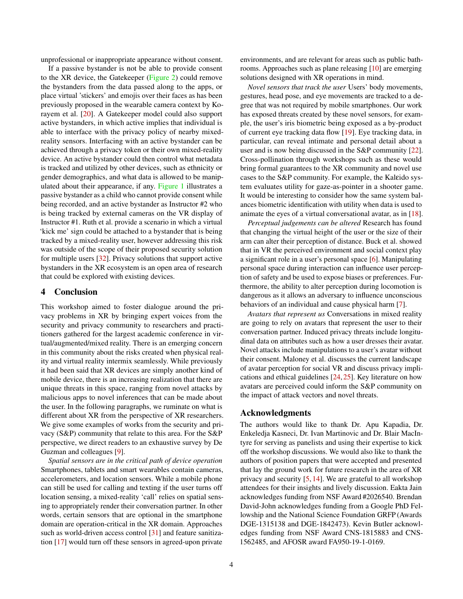unprofessional or inappropriate appearance without consent.

If a passive bystander is not be able to provide consent to the XR device, the Gatekeeper [\(Figure 2\)](#page-2-0) could remove the bystanders from the data passed along to the apps, or place virtual 'stickers' and emojis over their faces as has been previously proposed in the wearable camera context by Korayem et al. [\[20\]](#page-4-14). A Gatekeeper model could also support active bystanders, in which active implies that individual is able to interface with the privacy policy of nearby mixedreality sensors. Interfacing with an active bystander can be achieved through a privacy token or their own mixed-reality device. An active bystander could then control what metadata is tracked and utilized by other devices, such as ethnicity or gender demographics, and what data is allowed to be manipulated about their appearance, if any. [Figure 1](#page-1-1) illustrates a passive bystander as a child who cannot provide consent while being recorded, and an active bystander as Instructor #2 who is being tracked by external cameras on the VR display of Instructor #1. Ruth et al. provide a scenario in which a virtual 'kick me' sign could be attached to a bystander that is being tracked by a mixed-reality user, however addressing this risk was outside of the scope of their proposed security solution for multiple users [\[32\]](#page-5-11). Privacy solutions that support active bystanders in the XR ecosystem is an open area of research that could be explored with existing devices.

## <span id="page-3-0"></span>4 Conclusion

This workshop aimed to foster dialogue around the privacy problems in XR by bringing expert voices from the security and privacy community to researchers and practitioners gathered for the largest academic conference in virtual/augmented/mixed reality. There is an emerging concern in this community about the risks created when physical reality and virtual reality intermix seamlessly. While previously it had been said that XR devices are simply another kind of mobile device, there is an increasing realization that there are unique threats in this space, ranging from novel attacks by malicious apps to novel inferences that can be made about the user. In the following paragraphs, we ruminate on what is different about XR from the perspective of XR researchers. We give some examples of works from the security and privacy (S&P) community that relate to this area. For the S&P perspective, we direct readers to an exhaustive survey by De Guzman and colleagues [\[9\]](#page-4-15).

*Spatial sensors are in the critical path of device operation* Smartphones, tablets and smart wearables contain cameras, accelerometers, and location sensors. While a mobile phone can still be used for calling and texting if the user turns off location sensing, a mixed-reality 'call' relies on spatial sensing to appropriately render their conversation partner. In other words, certain sensors that are optional in the smartphone domain are operation-critical in the XR domain. Approaches such as world-driven access control [\[31\]](#page-5-12) and feature sanitization [\[17\]](#page-4-16) would turn off these sensors in agreed-upon private

environments, and are relevant for areas such as public bathrooms. Approaches such as plane releasing [\[10\]](#page-4-17) are emerging solutions designed with XR operations in mind.

*Novel sensors that track the user* Users' body movements, gestures, head pose, and eye movements are tracked to a degree that was not required by mobile smartphones. Our work has exposed threats created by these novel sensors, for example, the user's iris biometric being exposed as a by-product of current eye tracking data flow [\[19\]](#page-4-18). Eye tracking data, in particular, can reveal intimate and personal detail about a user and is now being discussed in the S&P community [\[22\]](#page-5-13). Cross-pollination through workshops such as these would bring formal guarantees to the XR community and novel use cases to the S&P community. For example, the Kalεido system evaluates utility for gaze-as-pointer in a shooter game. It would be interesting to consider how the same system balances biometric identification with utility when data is used to animate the eyes of a virtual conversational avatar, as in [\[18\]](#page-4-19).

*Perceptual judgements can be altered* Research has found that changing the virtual height of the user or the size of their arm can alter their perception of distance. Buck et al. showed that in VR the perceived environment and social context play a significant role in a user's personal space [\[6\]](#page-4-20). Manipulating personal space during interaction can influence user perception of safety and be used to expose biases or preferences. Furthermore, the ability to alter perception during locomotion is dangerous as it allows an adversary to influence unconscious behaviors of an individual and cause physical harm [\[7\]](#page-4-13).

*Avatars that represent us* Conversations in mixed reality are going to rely on avatars that represent the user to their conversation partner. Induced privacy threats include longitudinal data on attributes such as how a user dresses their avatar. Novel attacks include manipulations to a user's avatar without their consent. Maloney et al. discusses the current landscape of avatar perception for social VR and discuss privacy implications and ethical guidelines [\[24,](#page-5-14) [25\]](#page-5-15). Key literature on how avatars are perceived could inform the S&P community on the impact of attack vectors and novel threats.

#### Acknowledgments

The authors would like to thank Dr. Apu Kapadia, Dr. Enkeledja Kasneci, Dr. Ivan Martinovic and Dr. Blair MacIntyre for serving as panelists and using their expertise to kick off the workshop discussions. We would also like to thank the authors of position papers that were accepted and presented that lay the ground work for future research in the area of XR privacy and security  $[5, 14]$  $[5, 14]$  $[5, 14]$ . We are grateful to all workshop attendees for their insights and lively discussion. Eakta Jain acknowledges funding from NSF Award #2026540. Brendan David-John acknowledges funding from a Google PhD Fellowship and the National Science Foundation GRFP (Awards DGE-1315138 and DGE-1842473). Kevin Butler acknowledges funding from NSF Award CNS-1815883 and CNS-1562485, and AFOSR award FA950-19-1-0169.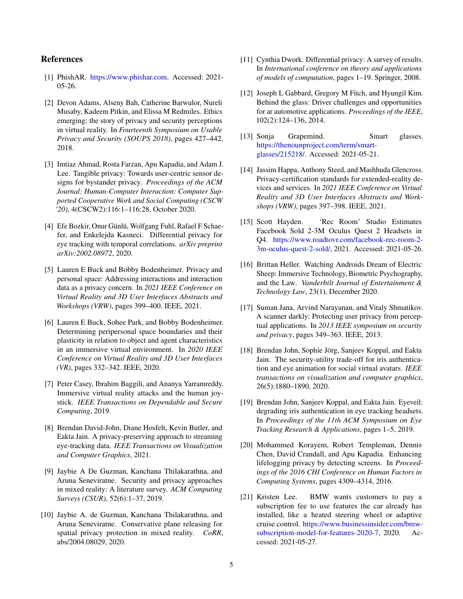# References

- <span id="page-4-9"></span>[1] PhishAR. [https://www.phishar.com.](https://www.phishar.com) Accessed: 2021- 05-26.
- <span id="page-4-0"></span>[2] Devon Adams, Alseny Bah, Catherine Barwulor, Nureli Musaby, Kadeem Pitkin, and Elissa M Redmiles. Ethics emerging: the story of privacy and security perceptions in virtual reality. In *Fourteenth Symposium on Usable Privacy and Security (SOUPS 2018)*, pages 427–442, 2018.
- <span id="page-4-10"></span>[3] Imtiaz Ahmad, Rosta Farzan, Apu Kapadia, and Adam J. Lee. Tangible privacy: Towards user-centric sensor designs for bystander privacy. *Proceedings of the ACM Journal: Human-Computer Interaction: Computer Supported Cooperative Work and Social Computing (CSCW '20)*, 4(CSCW2):116:1–116:28, October 2020.
- <span id="page-4-5"></span>[4] Efe Bozkir, Onur Günlü, Wolfgang Fuhl, Rafael F Schaefer, and Enkelejda Kasneci. Differential privacy for eye tracking with temporal correlations. *arXiv preprint arXiv:2002.08972*, 2020.
- <span id="page-4-4"></span>[5] Lauren E Buck and Bobby Bodenheimer. Privacy and personal space: Addressing interactions and interaction data as a privacy concern. In *2021 IEEE Conference on Virtual Reality and 3D User Interfaces Abstracts and Workshops (VRW)*, pages 399–400. IEEE, 2021.
- <span id="page-4-20"></span>[6] Lauren E Buck, Sohee Park, and Bobby Bodenheimer. Determining peripersonal space boundaries and their plasticity in relation to object and agent characteristics in an immersive virtual environment. In *2020 IEEE Conference on Virtual Reality and 3D User Interfaces (VR)*, pages 332–342. IEEE, 2020.
- <span id="page-4-13"></span>[7] Peter Casey, Ibrahim Baggili, and Ananya Yarramreddy. Immersive virtual reality attacks and the human joystick. *IEEE Transactions on Dependable and Secure Computing*, 2019.
- <span id="page-4-7"></span>[8] Brendan David-John, Diane Hosfelt, Kevin Butler, and Eakta Jain. A privacy-preserving approach to streaming eye-tracking data. *IEEE Transactions on Visualization and Computer Graphics*, 2021.
- <span id="page-4-15"></span>[9] Jaybie A De Guzman, Kanchana Thilakarathna, and Aruna Seneviratne. Security and privacy approaches in mixed reality: A literature survey. *ACM Computing Surveys (CSUR)*, 52(6):1–37, 2019.
- <span id="page-4-17"></span>[10] Jaybie A. de Guzman, Kanchana Thilakarathna, and Aruna Seneviratne. Conservative plane releasing for spatial privacy protection in mixed reality. *CoRR*, abs/2004.08029, 2020.
- <span id="page-4-6"></span>[11] Cynthia Dwork. Differential privacy: A survey of results. In *International conference on theory and applications of models of computation*, pages 1–19. Springer, 2008.
- <span id="page-4-11"></span>[12] Joseph L Gabbard, Gregory M Fitch, and Hyungil Kim. Behind the glass: Driver challenges and opportunities for ar automotive applications. *Proceedings of the IEEE*, 102(2):124–136, 2014.
- <span id="page-4-2"></span>[13] Sonja Grapemind. Smart glasses. [https://thenounproject.com/term/smart](https://thenounproject.com/term/smart-glasses/215218/)[glasses/215218/.](https://thenounproject.com/term/smart-glasses/215218/) Accessed: 2021-05-21.
- <span id="page-4-3"></span>[14] Jassim Happa, Anthony Steed, and Mashhuda Glencross. Privacy-certification standards for extended-reality devices and services. In *2021 IEEE Conference on Virtual Reality and 3D User Interfaces Abstracts and Workshops (VRW)*, pages 397–398. IEEE, 2021.
- <span id="page-4-1"></span>[15] Scott Hayden. 'Rec Room' Studio Estimates Facebook Sold 2-3M Oculus Quest 2 Headsets in Q4. [https://www.roadtovr.com/facebook-rec-room-2-](https://www.roadtovr.com/facebook-rec-room-2-3m-oculus-quest-2-sold/) [3m-oculus-quest-2-sold/,](https://www.roadtovr.com/facebook-rec-room-2-3m-oculus-quest-2-sold/) 2021. Accessed: 2021-05-26.
- <span id="page-4-8"></span>[16] Brittan Heller. Watching Androids Dream of Electric Sheep: Immersive Technology, Biometric Psychography, and the Law. *Vanderbilt Journal of Entertainment & Technology Law*, 23(1), December 2020.
- <span id="page-4-16"></span>[17] Suman Jana, Arvind Narayanan, and Vitaly Shmatikov. A scanner darkly: Protecting user privacy from perceptual applications. In *2013 IEEE symposium on security and privacy*, pages 349–363. IEEE, 2013.
- <span id="page-4-19"></span>[18] Brendan John, Sophie Jörg, Sanjeev Koppal, and Eakta Jain. The security-utility trade-off for iris authentication and eye animation for social virtual avatars. *IEEE transactions on visualization and computer graphics*, 26(5):1880–1890, 2020.
- <span id="page-4-18"></span>[19] Brendan John, Sanjeev Koppal, and Eakta Jain. Eyeveil: degrading iris authentication in eye tracking headsets. In *Proceedings of the 11th ACM Symposium on Eye Tracking Research & Applications*, pages 1–5, 2019.
- <span id="page-4-14"></span>[20] Mohammed Korayem, Robert Templeman, Dennis Chen, David Crandall, and Apu Kapadia. Enhancing lifelogging privacy by detecting screens. In *Proceedings of the 2016 CHI Conference on Human Factors in Computing Systems*, pages 4309–4314, 2016.
- <span id="page-4-12"></span>[21] Kristen Lee. BMW wants customers to pay a subscription fee to use features the car already has installed, like a heated steering wheel or adaptive cruise control. [https://www.businessinsider.com/bmw](https://www.businessinsider.com/bmw-subscription-model-for-features-2020-7)[subscription-model-for-features-2020-7,](https://www.businessinsider.com/bmw-subscription-model-for-features-2020-7) 2020. Accessed: 2021-05-27.